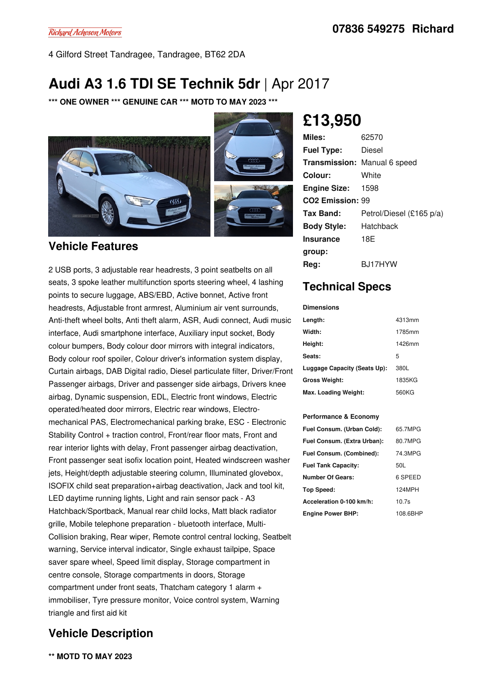4 Gilford Street Tandragee, Tandragee, BT62 2DA

# **Audi A3 1.6 TDI SE Technik 5dr** |Apr 2017

**\*\*\* ONE OWNER \*\*\* GENUINE CAR \*\*\* MOTD TO MAY 2023 \*\*\***



#### **Vehicle Features**

2 USB ports, 3 adjustable rear headrests, 3 point seatbelts on all seats, 3 spoke leather multifunction sports steering wheel, 4 lashing points to secure luggage, ABS/EBD, Active bonnet, Active front headrests, Adjustable front armrest, Aluminium air vent surrounds, Anti-theft wheel bolts, Anti theft alarm, ASR, Audi connect, Audi music interface, Audi smartphone interface, Auxiliary input socket, Body colour bumpers, Body colour door mirrors with integral indicators, Body colour roof spoiler, Colour driver's information system display, Curtain airbags, DAB Digital radio, Diesel particulate filter, Driver/Front Passenger airbags, Driver and passenger side airbags, Drivers knee airbag, Dynamic suspension, EDL, Electric front windows, Electric operated/heated door mirrors, Electric rear windows, Electro mechanical PAS, Electromechanical parking brake, ESC - Electronic Stability Control + traction control, Front/rear floor mats, Front and rear interior lights with delay, Front passenger airbag deactivation, Front passenger seat isofix location point, Heated windscreen washer jets, Height/depth adjustable steering column, Illuminated glovebox, ISOFIX child seat preparation+airbag deactivation, Jack and tool kit, LED daytime running lights, Light and rain sensor pack - A3 Hatchback/Sportback, Manual rear child locks, Matt black radiator grille, Mobile telephone preparation - bluetooth interface, Multi- Collision braking, Rear wiper, Remote control central locking, Seatbelt warning, Service interval indicator, Single exhaust tailpipe, Space saver spare wheel, Speed limit display, Storage compartment in centre console, Storage compartments in doors, Storage compartment under front seats, Thatcham category 1 alarm + immobiliser, Tyre pressure monitor, Voice control system, Warning triangle and first aid kit

## **Vehicle Description**

**£13,950**

| Miles:                       | 62570                               |
|------------------------------|-------------------------------------|
| <b>Fuel Type:</b>            | Diesel                              |
|                              | <b>Transmission:</b> Manual 6 speed |
| Colour:                      | White                               |
| <b>Engine Size:</b>          | 1598                                |
| CO <sub>2</sub> Emission: 99 |                                     |
| Tax Band:                    | Petrol/Diesel (£165 p/a)            |
| <b>Body Style:</b>           | Hatchback                           |
| <b>Insurance</b>             | 18E                                 |
| group:                       |                                     |
| Rea:                         | BJ17HYW                             |

### **Technical Specs**

**Dimensions**

| Length:                      | 4313mm |
|------------------------------|--------|
| Width:                       | 1785mm |
| Height:                      | 1426mm |
| <b>Seats:</b>                | 5      |
| Luggage Capacity (Seats Up): | 380L   |
| Gross Weight:                | 1835KG |
| Max. Loading Weight:         | 560KG  |

#### **Performance & Economy**

| Fuel Consum. (Urban Cold):  | 65.7MPG  |
|-----------------------------|----------|
| Fuel Consum. (Extra Urban): | 80.7MPG  |
| Fuel Consum. (Combined):    | 74.3MPG  |
| <b>Fuel Tank Capacity:</b>  | 50L      |
| <b>Number Of Gears:</b>     | 6 SPEED  |
| Top Speed:                  | 124MPH   |
| Acceleration 0-100 km/h:    | 10.7s    |
| <b>Engine Power BHP:</b>    | 108.6BHP |